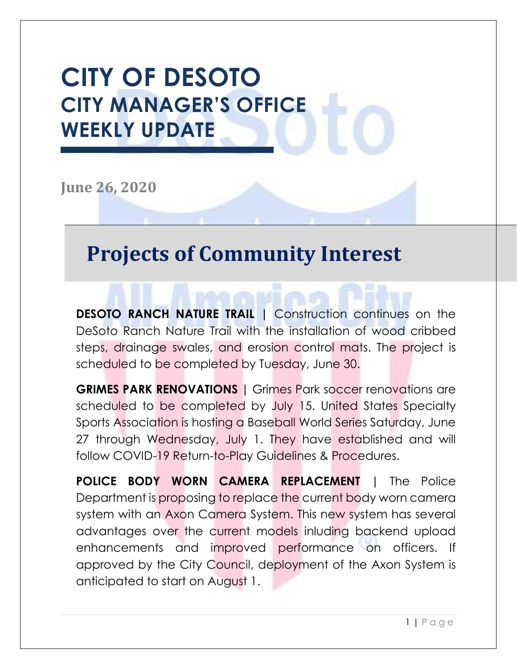## **CITY OF DESOTO CITY MANAGER'S OFFICE WEEKLY UPDATE**

**June 26, 2020**

## **Projects of Community Interest**

**DESOTO RANCH NATURE TRAIL |** Construction continues on the DeSoto Ranch Nature Trail with the installation of wood cribbed steps, drainage swales, and erosion control mats. The project is scheduled to be completed by Tuesday, June 30.

**GRIMES PARK RENOVATIONS |** Grimes Park soccer renovations are scheduled to be completed by July 15. United States Specialty Sports Association is hosting a Baseball World Series Saturday, June 27 through Wednesday, July 1. They have established and will follow COVID-19 Return-to-Play Guidelines & Procedures.

**POLICE BODY WORN CAMERA REPLACEMENT |** The Police Department is proposing to replace the current body worn camera system with an Axon Camera System. This new system has several advantages over the current models inluding backend upload enhancements and improved performance on officers. If approved by the City Council, deployment of the Axon System is anticipated to start on August 1.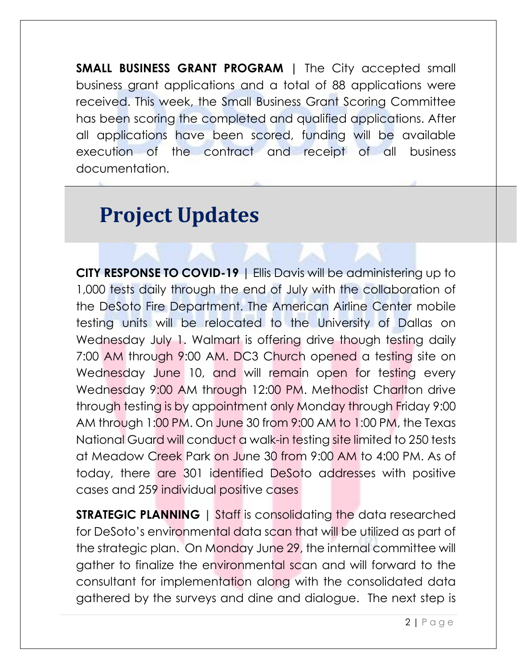**SMALL BUSINESS GRANT PROGRAM |** The City accepted small business grant applications and a total of 88 applications were received. This week, the Small Business Grant Scoring Committee has been scoring the completed and qualified applications. After all applications have been scored, funding will be available execution of the contract and receipt of all business documentation.

## **Project Updates**

**CITY RESPONSE TO COVID-19** | Ellis Davis will be administering up to 1,000 tests daily through the end of July with the collaboration of the DeSoto Fire Department. The American Airline Center mobile testing units will be relocated to the University of Dallas on Wednesday July 1. Walmart is offering drive though testing daily 7:00 AM through 9:00 AM. DC3 Church opened a testing site on Wednesday June 10, and will remain open for testing every Wednesday 9:00 AM through 12:00 PM. Methodist Charlton drive through testing is by appointment only Monday through Friday 9:00 AM through 1:00 PM. On June 30 from 9:00 AM to 1:00 PM, the Texas National Guard will conduct a walk-in testing site limited to 250 tests at Meadow Creek Park on June 30 from 9:00 AM to 4:00 PM. As of today, there are 301 identified DeSoto addresses with positive cases and 259 individual positive cases

**STRATEGIC PLANNING** | Staff is consolidating the data researched for DeSoto's environmental data scan that will be utilized as part of the strategic plan. On Monday June 29, the internal committee will gather to finalize the environmental scan and will forward to the consultant for implementation along with the consolidated data gathered by the surveys and dine and dialogue. The next step is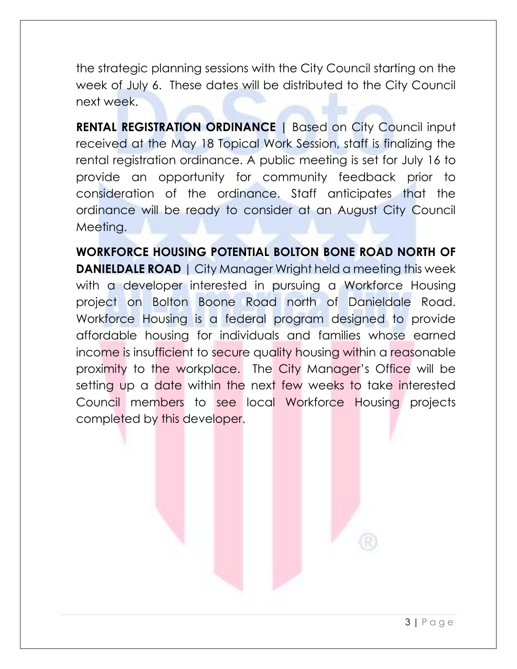the strategic planning sessions with the City Council starting on the week of July 6. These dates will be distributed to the City Council next week.

**RENTAL REGISTRATION ORDINANCE | Based on City Council input** received at the May 18 Topical Work Session, staff is finalizing the rental registration ordinance. A public meeting is set for July 16 to provide an opportunity for community feedback prior to consideration of the ordinance. Staff anticipates that the ordinance will be ready to consider at an August City Council Meeting.

**WORKFORCE HOUSING POTENTIAL BOLTON BONE ROAD NORTH OF DANIELDALE ROAD** | City Manager Wright held a meeting this week with a developer interested in pursuing a Workforce Housing project on Bolton Boone Road north of Danieldale Road. Workforce Housing is a federal program designed to provide affordable housing for individuals and families whose earned income is insufficient to secure quality housing within a reasonable proximity to the workplace. The City Manager's Office will be setting up a date within the next few weeks to take interested Council members to see local Workforce Housing projects completed by this developer.